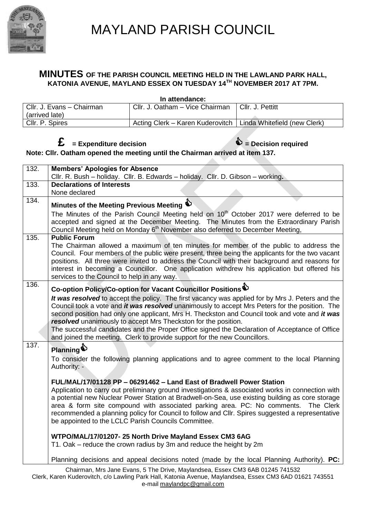

## MAYLAND PARISH COUNCIL

### **MINUTES OF THE PARISH COUNCIL MEETING HELD IN THE LAWLAND PARK HALL, KATONIA AVENUE, MAYLAND ESSEX ON TUESDAY 14TH NOVEMBER 2017 AT 7PM.**

**In attendance:**

| Cllr. J. Evans - Chairman | Cllr. J. Oatham - Vice Chairman                                 | Cllr. J. Pettitt |
|---------------------------|-----------------------------------------------------------------|------------------|
| (arrived late)            |                                                                 |                  |
| Cllr. P. Spires           | Acting Clerk – Karen Kuderovitch   Linda Whitefield (new Clerk) |                  |

### $f{f}$  = Expenditure decision

**Note: Cllr. Oatham opened the meeting until the Chairman arrived at item 137.**

| 132. | <b>Members' Apologies for Absence</b>                                                                                                                                                                                                                                                                                                                                                                                                    |
|------|------------------------------------------------------------------------------------------------------------------------------------------------------------------------------------------------------------------------------------------------------------------------------------------------------------------------------------------------------------------------------------------------------------------------------------------|
|      | Cllr. R. Bush - holiday. Cllr. B. Edwards - holiday. Cllr. D. Gibson - working.                                                                                                                                                                                                                                                                                                                                                          |
| 133. | <b>Declarations of Interests</b>                                                                                                                                                                                                                                                                                                                                                                                                         |
|      | None declared                                                                                                                                                                                                                                                                                                                                                                                                                            |
| 134. | Minutes of the Meeting Previous Meeting $\bigcirc$                                                                                                                                                                                                                                                                                                                                                                                       |
|      | The Minutes of the Parish Council Meeting held on 10 <sup>th</sup> October 2017 were deferred to be                                                                                                                                                                                                                                                                                                                                      |
|      | accepted and signed at the December Meeting. The Minutes from the Extraordinary Parish<br>Council Meeting held on Monday 6 <sup>th</sup> November also deferred to December Meeting,                                                                                                                                                                                                                                                     |
| 135. | <b>Public Forum</b>                                                                                                                                                                                                                                                                                                                                                                                                                      |
|      | The Chairman allowed a maximum of ten minutes for member of the public to address the<br>Council. Four members of the public were present, three being the applicants for the two vacant<br>positions. All three were invited to address the Council with their background and reasons for<br>interest in becoming a Councillor. One application withdrew his application but offered his<br>services to the Council to help in any way. |
| 136. |                                                                                                                                                                                                                                                                                                                                                                                                                                          |
|      | Co-option Policy/Co-option for Vacant Councillor Positions                                                                                                                                                                                                                                                                                                                                                                               |
|      | It was resolved to accept the policy. The first vacancy was applied for by Mrs J. Peters and the<br>Council took a vote and <i>it was resolved</i> unanimously to accept Mrs Peters for the position. The                                                                                                                                                                                                                                |
|      | second position had only one applicant, Mrs H. Theckston and Council took and vote and it was                                                                                                                                                                                                                                                                                                                                            |
|      | resolved unanimously to accept Mrs Theckston for the position.                                                                                                                                                                                                                                                                                                                                                                           |
|      | The successful candidates and the Proper Office signed the Declaration of Acceptance of Office                                                                                                                                                                                                                                                                                                                                           |
|      | and joined the meeting. Clerk to provide support for the new Councillors.                                                                                                                                                                                                                                                                                                                                                                |
| 137. | Planning                                                                                                                                                                                                                                                                                                                                                                                                                                 |
|      | To consider the following planning applications and to agree comment to the local Planning                                                                                                                                                                                                                                                                                                                                               |
|      | Authority: -                                                                                                                                                                                                                                                                                                                                                                                                                             |
|      | FUL/MAL/17/01128 PP - 06291462 - Land East of Bradwell Power Station                                                                                                                                                                                                                                                                                                                                                                     |
|      | Application to carry out preliminary ground investigations & associated works in connection with                                                                                                                                                                                                                                                                                                                                         |
|      | a potential new Nuclear Power Station at Bradwell-on-Sea, use existing building as core storage                                                                                                                                                                                                                                                                                                                                          |
|      | area & form site compound with associated parking area. PC: No comments.<br>The Clerk                                                                                                                                                                                                                                                                                                                                                    |
|      | recommended a planning policy for Council to follow and Cllr. Spires suggested a representative                                                                                                                                                                                                                                                                                                                                          |
|      | be appointed to the LCLC Parish Councils Committee.                                                                                                                                                                                                                                                                                                                                                                                      |
|      | WTPO/MAL/17/01207-25 North Drive Mayland Essex CM3 6AG                                                                                                                                                                                                                                                                                                                                                                                   |
|      | T1. Oak – reduce the crown radius by 3m and reduce the height by 2m                                                                                                                                                                                                                                                                                                                                                                      |
|      | Planning decisions and appeal decisions noted (made by the local Planning Authority). PC:                                                                                                                                                                                                                                                                                                                                                |
|      |                                                                                                                                                                                                                                                                                                                                                                                                                                          |

Chairman, Mrs Jane Evans, 5 The Drive, Maylandsea, Essex CM3 6AB 01245 741532 Clerk, Karen Kuderovitch, c/o Lawling Park Hall, Katonia Avenue, Maylandsea, Essex CM3 6AD 01621 743551 e-mail [maylandpc@gmail.com](mailto:maylandpc@gmail.com)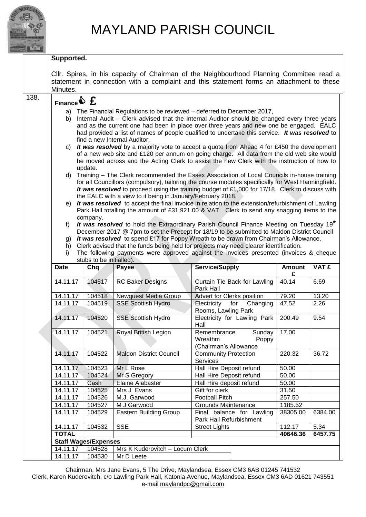

### **Supported.**

|      | Minutes.                                         |                                                                                                                                                                                          |                                 | CIIr. Spires, in his capacity of Chairman of the Neighbourhood Planning Committee read a<br>statement in connection with a complaint and this statement forms an attachment to these |                    |                 |  |  |
|------|--------------------------------------------------|------------------------------------------------------------------------------------------------------------------------------------------------------------------------------------------|---------------------------------|--------------------------------------------------------------------------------------------------------------------------------------------------------------------------------------|--------------------|-----------------|--|--|
| 138. |                                                  |                                                                                                                                                                                          |                                 |                                                                                                                                                                                      |                    |                 |  |  |
|      | Finance $\mathbf{\hat{\Phi}}$ $\mathbf{\hat{E}}$ |                                                                                                                                                                                          |                                 |                                                                                                                                                                                      |                    |                 |  |  |
|      | a)                                               |                                                                                                                                                                                          |                                 | The Financial Regulations to be reviewed – deferred to December 2017,                                                                                                                |                    |                 |  |  |
|      | b)                                               | Internal Audit - Clerk advised that the Internal Auditor should be changed every three years                                                                                             |                                 |                                                                                                                                                                                      |                    |                 |  |  |
|      |                                                  | and as the current one had been in place over three years and new one be engaged. EALC<br>had provided a list of names of people qualified to undertake this service. It was resolved to |                                 |                                                                                                                                                                                      |                    |                 |  |  |
|      |                                                  |                                                                                                                                                                                          | find a new Internal Auditor.    |                                                                                                                                                                                      |                    |                 |  |  |
|      | C)                                               |                                                                                                                                                                                          |                                 |                                                                                                                                                                                      |                    |                 |  |  |
|      |                                                  | It was resolved by a majority vote to accept a quote from Ahead 4 for £450 the development<br>of a new web site and £120 per annum on going charge. All data from the old web site would |                                 |                                                                                                                                                                                      |                    |                 |  |  |
|      |                                                  | be moved across and the Acting Clerk to assist the new Clerk with the instruction of how to                                                                                              |                                 |                                                                                                                                                                                      |                    |                 |  |  |
|      | update.                                          |                                                                                                                                                                                          |                                 |                                                                                                                                                                                      |                    |                 |  |  |
|      | d)                                               |                                                                                                                                                                                          |                                 | Training - The Clerk recommended the Essex Association of Local Councils in-house training                                                                                           |                    |                 |  |  |
|      |                                                  | for all Councillors (compulsory), tailoring the course modules specifically for West Hanningfield.                                                                                       |                                 |                                                                                                                                                                                      |                    |                 |  |  |
|      |                                                  | It was resolved to proceed using the training budget of £1,000 for 17/18. Clerk to discuss with<br>the EALC with a view to it being in January/February 2018.                            |                                 |                                                                                                                                                                                      |                    |                 |  |  |
|      | e)                                               |                                                                                                                                                                                          |                                 | It was resolved to accept the final invoice in relation to the extension/refurbishment of Lawling                                                                                    |                    |                 |  |  |
|      |                                                  |                                                                                                                                                                                          |                                 | Park Hall totalling the amount of £31,921.00 & VAT. Clerk to send any snagging items to the                                                                                          |                    |                 |  |  |
|      |                                                  | company.                                                                                                                                                                                 |                                 |                                                                                                                                                                                      |                    |                 |  |  |
|      | f)                                               |                                                                                                                                                                                          |                                 | It was resolved to hold the Extraordinary Parish Council Finance Meeting on Tuesday 19 <sup>th</sup>                                                                                 |                    |                 |  |  |
|      | g)                                               |                                                                                                                                                                                          |                                 | December 2017 @ 7pm to set the Precept for 18/19 to be submitted to Maldon District Council                                                                                          |                    |                 |  |  |
|      | h)                                               | It was resolved to spend £17 for Poppy Wreath to be drawn from Chairman's Allowance.<br>Clerk advised that the funds being held for projects may need clearer identification.            |                                 |                                                                                                                                                                                      |                    |                 |  |  |
|      | i)                                               |                                                                                                                                                                                          |                                 | The following payments were approved against the invoices presented (invoices & cheque                                                                                               |                    |                 |  |  |
|      | stubs to be initialled).                         |                                                                                                                                                                                          |                                 |                                                                                                                                                                                      |                    |                 |  |  |
|      |                                                  |                                                                                                                                                                                          |                                 |                                                                                                                                                                                      |                    |                 |  |  |
|      | <b>Date</b>                                      | Chq                                                                                                                                                                                      | Payee                           | <b>Service/Supply</b>                                                                                                                                                                | <b>Amount</b><br>£ | VAT £           |  |  |
|      | 14.11.17                                         | 104517                                                                                                                                                                                   | <b>RC Baker Designs</b>         | Curtain Tie Back for Lawling                                                                                                                                                         | 40.14              | 6.69            |  |  |
|      |                                                  |                                                                                                                                                                                          |                                 | Park Hall                                                                                                                                                                            |                    |                 |  |  |
|      | 14.11.17                                         | 104518                                                                                                                                                                                   | <b>Newquest Media Group</b>     | Advert for Clerks position                                                                                                                                                           | 79.20              | 13.20           |  |  |
|      | 14.11.17                                         | 104519                                                                                                                                                                                   | <b>SSE Scottish Hydro</b>       | Electricity<br>for<br>Changing                                                                                                                                                       | 47.52              | 2.26            |  |  |
|      | 14.11.17                                         | 104520                                                                                                                                                                                   | <b>SSE Scottish Hydro</b>       | Rooms, Lawling Park<br>Electricity for Lawling Park                                                                                                                                  | 200.49             | 9.54            |  |  |
|      |                                                  |                                                                                                                                                                                          |                                 | Hall                                                                                                                                                                                 |                    |                 |  |  |
|      | 14.11.17                                         | 104521                                                                                                                                                                                   | Royal British Legion            | Remembrance<br>Sunday                                                                                                                                                                | 17.00              |                 |  |  |
|      |                                                  |                                                                                                                                                                                          |                                 | Poppy<br>Wreathm                                                                                                                                                                     |                    |                 |  |  |
|      |                                                  |                                                                                                                                                                                          |                                 | (Chairman's Allowance                                                                                                                                                                |                    |                 |  |  |
|      | 14.11.17                                         | 104522                                                                                                                                                                                   | <b>Maldon District Council</b>  | <b>Community Protection</b>                                                                                                                                                          | 220.32             | 36.72           |  |  |
|      | 14.11.17                                         | 104523                                                                                                                                                                                   | Mr L Rose                       | Services<br>Hall Hire Deposit refund                                                                                                                                                 | 50.00              |                 |  |  |
|      | 14.11.17                                         | 104524                                                                                                                                                                                   | Mr S Gregory                    | Hall Hire Deposit refund                                                                                                                                                             | 50.00              |                 |  |  |
|      | 14.11.17                                         | Cash                                                                                                                                                                                     | Elaine Alabaster                | Hall Hire deposit refund                                                                                                                                                             | 50.00              |                 |  |  |
|      | 14.11.17                                         | 104525                                                                                                                                                                                   | Mrs J Evans                     | Gift for clerk                                                                                                                                                                       | 31.50              |                 |  |  |
|      | 14.11.17                                         | 104526                                                                                                                                                                                   | M.J. Garwood                    | <b>Football Pitch</b>                                                                                                                                                                | 257.50             |                 |  |  |
|      | 14.11.17                                         | 104527                                                                                                                                                                                   | M J Garwood                     | <b>Grounds Maintenance</b>                                                                                                                                                           | 1185.52            |                 |  |  |
|      | 14.11.17                                         | 104529                                                                                                                                                                                   | <b>Eastern Building Group</b>   | Final balance for Lawling                                                                                                                                                            | 38305.00           | 6384.00         |  |  |
|      |                                                  |                                                                                                                                                                                          |                                 | Park Hall Refurbishment                                                                                                                                                              |                    |                 |  |  |
|      | 14.11.17<br><b>TOTAL</b>                         | 104532                                                                                                                                                                                   | <b>SSE</b>                      | <b>Street Lights</b>                                                                                                                                                                 | 112.17<br>40646.36 | 5.34<br>6457.75 |  |  |
|      |                                                  | <b>Staff Wages/Expenses</b>                                                                                                                                                              |                                 |                                                                                                                                                                                      |                    |                 |  |  |
|      | 14.11.17                                         | 104528<br>104530                                                                                                                                                                         | Mrs K Kuderovitch - Locum Clerk |                                                                                                                                                                                      |                    |                 |  |  |

Chairman, Mrs Jane Evans, 5 The Drive, Maylandsea, Essex CM3 6AB 01245 741532 Clerk, Karen Kuderovitch, c/o Lawling Park Hall, Katonia Avenue, Maylandsea, Essex CM3 6AD 01621 743551 e-mail [maylandpc@gmail.com](mailto:maylandpc@gmail.com)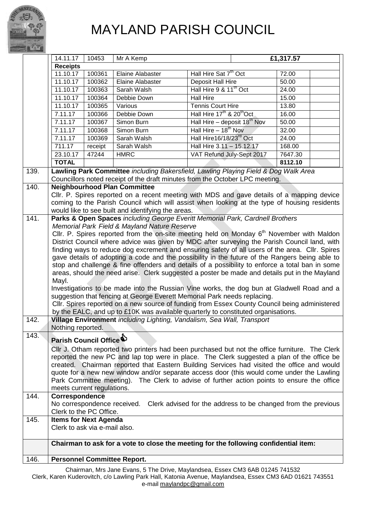

## MAYLAND PARISH COUNCIL

|      | 14.11.17                                                                                                                                                                                     | 10453   | Mr A Kemp                                          |                                                                                                 | £1,317.57 |  |
|------|----------------------------------------------------------------------------------------------------------------------------------------------------------------------------------------------|---------|----------------------------------------------------|-------------------------------------------------------------------------------------------------|-----------|--|
|      | <b>Receipts</b>                                                                                                                                                                              |         |                                                    |                                                                                                 |           |  |
|      | 11.10.17                                                                                                                                                                                     | 100361  | <b>Elaine Alabaster</b>                            | Hall Hire Sat 7 <sup>th</sup> Oct                                                               | 72.00     |  |
|      | 11.10.17                                                                                                                                                                                     | 100362  | Elaine Alabaster                                   | Deposit Hall Hire                                                                               | 50.00     |  |
|      | 11.10.17                                                                                                                                                                                     | 100363  | Sarah Walsh                                        | Hall Hire 9 & 11 <sup>th</sup> Oct                                                              | 24.00     |  |
|      | 11.10.17                                                                                                                                                                                     | 100364  | Debbie Down                                        | <b>Hall Hire</b>                                                                                | 15.00     |  |
|      | 11.10.17                                                                                                                                                                                     | 100365  | Various                                            | Tennis Court Hire                                                                               | 13.80     |  |
|      | 7.11.17                                                                                                                                                                                      | 100366  | Debbie Down                                        | Hall Hire 17 <sup>th</sup> & 20 <sup>th</sup> Oct                                               | 16.00     |  |
|      | 7.11.17                                                                                                                                                                                      | 100367  | Simon Burn                                         | Hall Hire – deposit $18^{th}$ Nov                                                               | 50.00     |  |
|      | 7.11.17                                                                                                                                                                                      | 100368  | Simon Burn                                         | Hall Hire - 18 <sup>th</sup> Nov                                                                | 32.00     |  |
|      | 7.11.17                                                                                                                                                                                      | 100369  | Sarah Walsh                                        | Hall Hire16/18/23 <sup>rd</sup> Oct                                                             | 24.00     |  |
|      | 711.17                                                                                                                                                                                       | receipt | Sarah Walsh                                        | Hall Hire 3.11 - 15.12.17                                                                       | 168.00    |  |
|      | 23.10.17                                                                                                                                                                                     | 47244   | <b>HMRC</b>                                        | VAT Refund July-Sept 2017                                                                       | 7647.30   |  |
|      | <b>TOTAL</b>                                                                                                                                                                                 |         |                                                    |                                                                                                 | 8112.10   |  |
| 139. |                                                                                                                                                                                              |         |                                                    | Lawling Park Committee including Bakersfield, Lawling Playing Field & Dog Walk Area             |           |  |
|      |                                                                                                                                                                                              |         |                                                    | Councillors noted receipt of the draft minutes from the October LPC meeting.                    |           |  |
| 140. |                                                                                                                                                                                              |         | <b>Neighbourhood Plan Committee</b>                |                                                                                                 |           |  |
|      |                                                                                                                                                                                              |         |                                                    | CIIr. P. Spires reported on a recent meeting with MDS and gave details of a mapping device      |           |  |
|      |                                                                                                                                                                                              |         |                                                    | coming to the Parish Council which will assist when looking at the type of housing residents    |           |  |
|      |                                                                                                                                                                                              |         | would like to see built and identifying the areas. |                                                                                                 |           |  |
| 141. |                                                                                                                                                                                              |         |                                                    | Parks & Open Spaces including George Everitt Memorial Park, Cardnell Brothers                   |           |  |
|      |                                                                                                                                                                                              |         | Memorial Park Field & Mayland Nature Reserve       |                                                                                                 |           |  |
|      |                                                                                                                                                                                              |         |                                                    | Cllr. P. Spires reported from the on-site meeting held on Monday $6th$ November with Maldon     |           |  |
|      |                                                                                                                                                                                              |         |                                                    | District Council where advice was given by MDC after surveying the Parish Council land, with    |           |  |
|      |                                                                                                                                                                                              |         |                                                    | finding ways to reduce dog excrement and ensuring safety of all users of the area. Cllr. Spires |           |  |
|      |                                                                                                                                                                                              |         |                                                    | gave details of adopting a code and the possibility in the future of the Rangers being able to  |           |  |
|      |                                                                                                                                                                                              |         |                                                    | stop and challenge & fine offenders and details of a possibility to enforce a total ban in some |           |  |
|      |                                                                                                                                                                                              |         |                                                    | areas, should the need arise. Clerk suggested a poster be made and details put in the Mayland   |           |  |
|      | Mayl.                                                                                                                                                                                        |         |                                                    | Investigations to be made into the Russian Vine works, the dog bun at Gladwell Road and a       |           |  |
|      |                                                                                                                                                                                              |         |                                                    | suggestion that fencing at George Everett Memorial Park needs replacing.                        |           |  |
|      |                                                                                                                                                                                              |         |                                                    | Cllr. Spires reported on a new source of funding from Essex County Council being administered   |           |  |
|      |                                                                                                                                                                                              |         |                                                    | by the EALC, and up to £10K was available quarterly to constituted organisations.               |           |  |
| 142. |                                                                                                                                                                                              |         |                                                    |                                                                                                 |           |  |
|      | Village Environment including Lighting, Vandalism, Sea Wall, Transport<br>Nothing reported.                                                                                                  |         |                                                    |                                                                                                 |           |  |
| 143. | Parish Council Office                                                                                                                                                                        |         |                                                    |                                                                                                 |           |  |
|      |                                                                                                                                                                                              |         |                                                    |                                                                                                 |           |  |
|      | CIIr J. Otham reported two printers had been purchased but not the office furniture. The Clerk<br>reported the new PC and lap top were in place. The Clerk suggested a plan of the office be |         |                                                    |                                                                                                 |           |  |
|      | created. Chairman reported that Eastern Building Services had visited the office and would                                                                                                   |         |                                                    |                                                                                                 |           |  |
|      | quote for a new new window and/or separate access door (this would come under the Lawling                                                                                                    |         |                                                    |                                                                                                 |           |  |
|      | Park Committee meeting). The Clerk to advise of further action points to ensure the office                                                                                                   |         |                                                    |                                                                                                 |           |  |
|      | meets current regulations.                                                                                                                                                                   |         |                                                    |                                                                                                 |           |  |
| 144. | Correspondence                                                                                                                                                                               |         |                                                    |                                                                                                 |           |  |
|      |                                                                                                                                                                                              |         | No correspondence received.                        | Clerk advised for the address to be changed from the previous                                   |           |  |
|      | Clerk to the PC Office.                                                                                                                                                                      |         |                                                    |                                                                                                 |           |  |
| 145. | <b>Items for Next Agenda</b>                                                                                                                                                                 |         |                                                    |                                                                                                 |           |  |
|      | Clerk to ask via e-mail also.                                                                                                                                                                |         |                                                    |                                                                                                 |           |  |
|      |                                                                                                                                                                                              |         |                                                    |                                                                                                 |           |  |
|      | Chairman to ask for a vote to close the meeting for the following confidential item:                                                                                                         |         |                                                    |                                                                                                 |           |  |
|      |                                                                                                                                                                                              |         |                                                    |                                                                                                 |           |  |

Chairman, Mrs Jane Evans, 5 The Drive, Maylandsea, Essex CM3 6AB 01245 741532 Clerk, Karen Kuderovitch, c/o Lawling Park Hall, Katonia Avenue, Maylandsea, Essex CM3 6AD 01621 743551 e-mail [maylandpc@gmail.com](mailto:maylandpc@gmail.com)